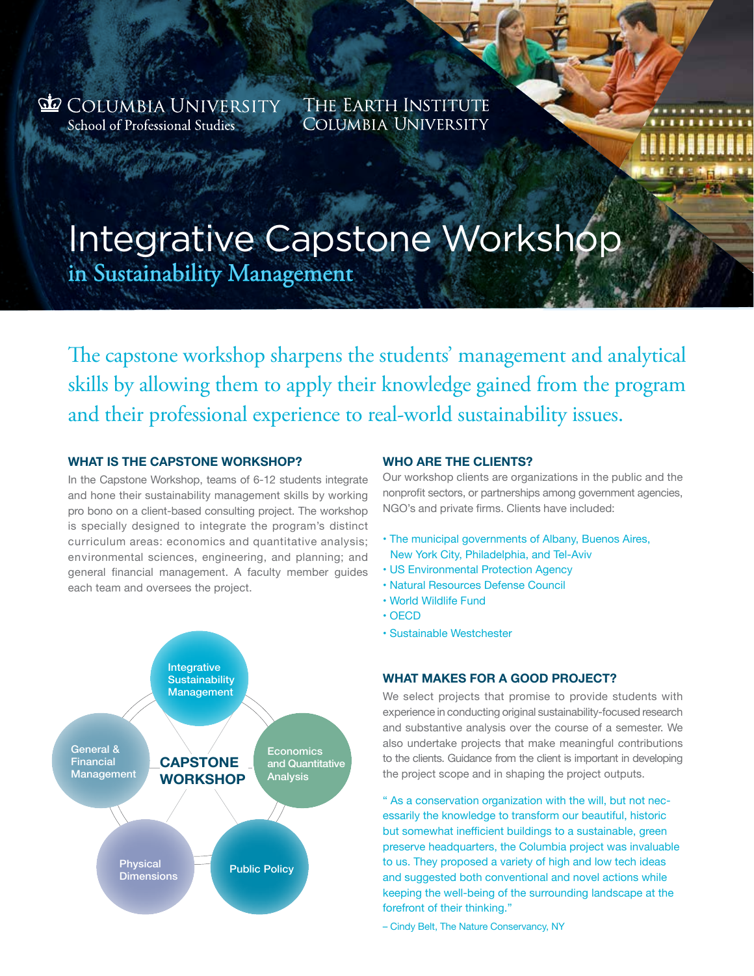**do** Columbia University School of Professional Studies

THE EARTH INSTITUTE **COLUMBIA UNIVERSITY** 

# Integrative Capstone Workshop

in Sustainability Management

The capstone workshop sharpens the students' management and analytical skills by allowing them to apply their knowledge gained from the program and their professional experience to real-world sustainability issues.

# **What is the Capstone Workshop?**

In the Capstone Workshop, teams of 6-12 students integrate and hone their sustainability management skills by working pro bono on a client-based consulting project. The workshop is specially designed to integrate the program's distinct curriculum areas: economics and quantitative analysis; environmental sciences, engineering, and planning; and general financial management. A faculty member guides each team and oversees the project.



## **Who are the clients?**

Our workshop clients are organizations in the public and the nonprofit sectors, or partnerships among government agencies, NGO's and private firms. Clients have included:

- The municipal governments of Albany, Buenos Aires, New York City, Philadelphia, and Tel-Aviv
- US Environmental Protection Agency
- Natural Resources Defense Council
- World Wildlife Fund
- OECD
- Sustainable Westchester

# **What makes for a good project?**

We select projects that promise to provide students with experience in conducting original sustainability-focused research and substantive analysis over the course of a semester. We also undertake projects that make meaningful contributions to the clients. Guidance from the client is important in developing the project scope and in shaping the project outputs.

" As a conservation organization with the will, but not necessarily the knowledge to transform our beautiful, historic but somewhat inefficient buildings to a sustainable, green preserve headquarters, the Columbia project was invaluable to us. They proposed a variety of high and low tech ideas and suggested both conventional and novel actions while keeping the well-being of the surrounding landscape at the forefront of their thinking."

– Cindy Belt, The Nature Conservancy, NY